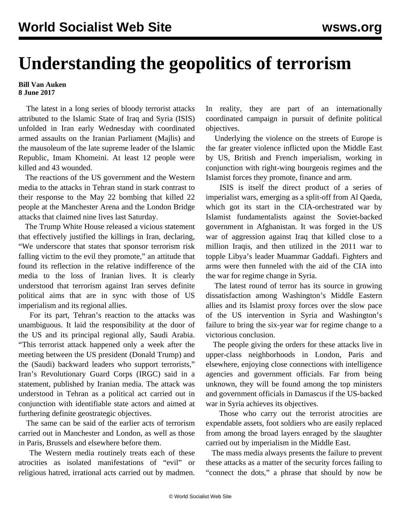## **Understanding the geopolitics of terrorism**

## **Bill Van Auken 8 June 2017**

 The latest in a long series of bloody terrorist attacks attributed to the Islamic State of Iraq and Syria (ISIS) unfolded in Iran early Wednesday with coordinated armed assaults on the Iranian Parliament (Majlis) and the mausoleum of the late supreme leader of the Islamic Republic, Imam Khomeini. At least 12 people were killed and 43 wounded.

 The reactions of the US government and the Western media to the attacks in Tehran stand in stark contrast to their response to the May 22 bombing that killed 22 people at the Manchester Arena and the London Bridge attacks that claimed nine lives last Saturday.

 The Trump White House released a vicious statement that effectively justified the killings in Iran, declaring, "We underscore that states that sponsor terrorism risk falling victim to the evil they promote," an attitude that found its reflection in the relative indifference of the media to the loss of Iranian lives. It is clearly understood that terrorism against Iran serves definite political aims that are in sync with those of US imperialism and its regional allies.

 For its part, Tehran's reaction to the attacks was unambiguous. It laid the responsibility at the door of the US and its principal regional ally, Saudi Arabia. "This terrorist attack happened only a week after the meeting between the US president (Donald Trump) and the (Saudi) backward leaders who support terrorists," Iran's Revolutionary Guard Corps (IRGC) said in a statement, published by Iranian media. The attack was understood in Tehran as a political act carried out in conjunction with identifiable state actors and aimed at furthering definite geostrategic objectives.

 The same can be said of the earlier acts of terrorism carried out in Manchester and London, as well as those in Paris, Brussels and elsewhere before them.

 The Western media routinely treats each of these atrocities as isolated manifestations of "evil" or religious hatred, irrational acts carried out by madmen. In reality, they are part of an internationally coordinated campaign in pursuit of definite political objectives.

 Underlying the violence on the streets of Europe is the far greater violence inflicted upon the Middle East by US, British and French imperialism, working in conjunction with right-wing bourgeois regimes and the Islamist forces they promote, finance and arm.

 ISIS is itself the direct product of a series of imperialist wars, emerging as a split-off from Al Qaeda, which got its start in the CIA-orchestrated war by Islamist fundamentalists against the Soviet-backed government in Afghanistan. It was forged in the US war of aggression against Iraq that killed close to a million Iraqis, and then utilized in the 2011 war to topple Libya's leader Muammar Gaddafi. Fighters and arms were then funneled with the aid of the CIA into the war for regime change in Syria.

 The latest round of terror has its source in growing dissatisfaction among Washington's Middle Eastern allies and its Islamist proxy forces over the slow pace of the US intervention in Syria and Washington's failure to bring the six-year war for regime change to a victorious conclusion.

 The people giving the orders for these attacks live in upper-class neighborhoods in London, Paris and elsewhere, enjoying close connections with intelligence agencies and government officials. Far from being unknown, they will be found among the top ministers and government officials in Damascus if the US-backed war in Syria achieves its objectives.

 Those who carry out the terrorist atrocities are expendable assets, foot soldiers who are easily replaced from among the broad layers enraged by the slaughter carried out by imperialism in the Middle East.

 The mass media always presents the failure to prevent these attacks as a matter of the security forces failing to "connect the dots," a phrase that should by now be